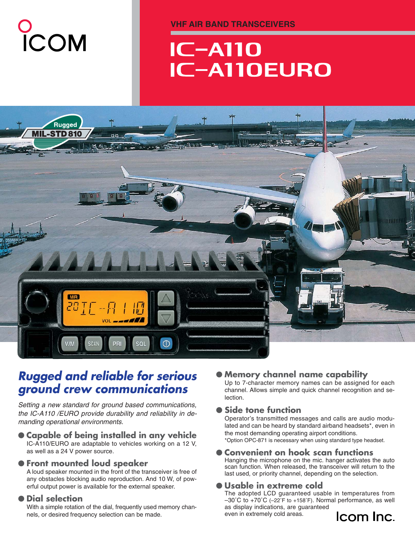# O<br>ICOM

**VHF AIR BAND TRANSCEIVERS**

# **IC-A110 IC-A110EURO**



# *Rugged and reliable for serious ground crew communications*

*Setting a new standard for ground based communications, the IC-A110 /EURO provide durability and reliability in demanding operational environments.*

#### ● **Capable of being installed in any vehicle** IC-A110/EURO are adaptable to vehicles working on a 12 V, as well as a 24 V power source.

## ● **Front mounted loud speaker**

A loud speaker mounted in the front of the transceiver is free of any obstacles blocking audio reproduction. And 10 W, of powerful output power is available for the external speaker.

#### ● **Dial selection**

With a simple rotation of the dial, frequently used memory channels, or desired frequency selection can be made.

## **Memory channel name capability**

Up to 7-character memory names can be assigned for each channel. Allows simple and quick channel recognition and selection.

## ● **Side tone function**

Operator's transmitted messages and calls are audio modulated and can be heard by standard airband headsets\*, even in the most demanding operating airport conditions. \*Option OPC-871 is necessary when using standard type headset.

#### **Convenient on hook scan functions**

Hanging the microphone on the mic. hanger activates the auto scan function. When released, the transceiver will return to the last used, or priority channel, depending on the selection.

## ● **Usable in extreme cold**

The adopted LCD guaranteed usable in temperatures from –30˚C to +70˚C (–22˚F to +158˚F). Normal performance, as well as display indications, are guaranteed even in extremely cold areas.

# Icom Inc.